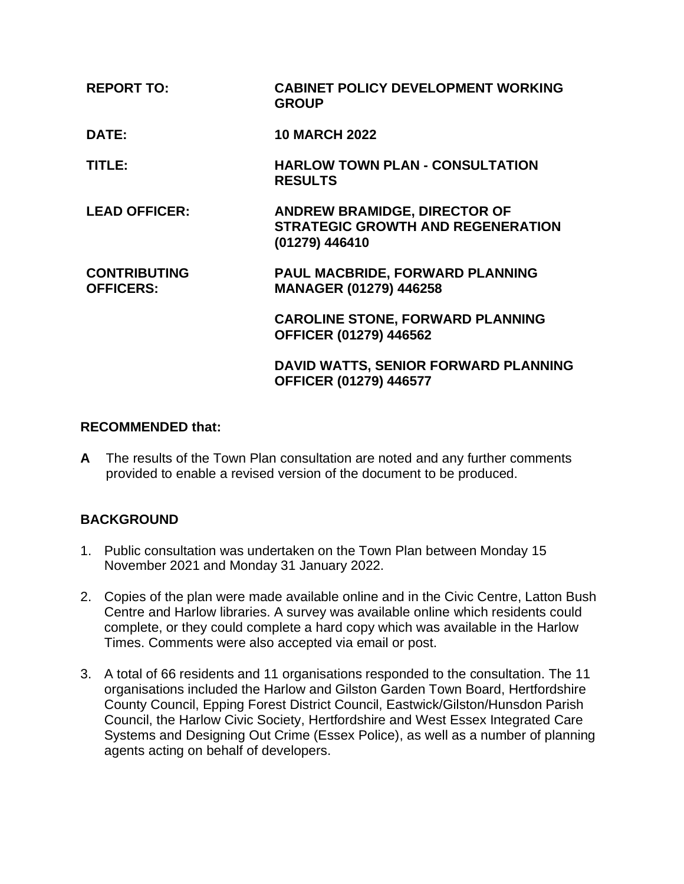| <b>REPORT TO:</b>                       | <b>CABINET POLICY DEVELOPMENT WORKING</b><br><b>GROUP</b>                                         |
|-----------------------------------------|---------------------------------------------------------------------------------------------------|
| DATE:                                   | <b>10 MARCH 2022</b>                                                                              |
| TITLE:                                  | <b>HARLOW TOWN PLAN - CONSULTATION</b><br><b>RESULTS</b>                                          |
| <b>LEAD OFFICER:</b>                    | <b>ANDREW BRAMIDGE, DIRECTOR OF</b><br><b>STRATEGIC GROWTH AND REGENERATION</b><br>(01279) 446410 |
| <b>CONTRIBUTING</b><br><b>OFFICERS:</b> | <b>PAUL MACBRIDE, FORWARD PLANNING</b><br>MANAGER (01279) 446258                                  |
|                                         | <b>CAROLINE STONE, FORWARD PLANNING</b><br><b>OFFICER (01279) 446562</b>                          |
|                                         | DAVID WATTS, SENIOR FORWARD PLANNING<br><b>OFFICER (01279) 446577</b>                             |

#### **RECOMMENDED that:**

**A** The results of the Town Plan consultation are noted and any further comments provided to enable a revised version of the document to be produced.

# **BACKGROUND**

- 1. Public consultation was undertaken on the Town Plan between Monday 15 November 2021 and Monday 31 January 2022.
- 2. Copies of the plan were made available online and in the Civic Centre, Latton Bush Centre and Harlow libraries. A survey was available online which residents could complete, or they could complete a hard copy which was available in the Harlow Times. Comments were also accepted via email or post.
- 3. A total of 66 residents and 11 organisations responded to the consultation. The 11 organisations included the Harlow and Gilston Garden Town Board, Hertfordshire County Council, Epping Forest District Council, Eastwick/Gilston/Hunsdon Parish Council, the Harlow Civic Society, Hertfordshire and West Essex Integrated Care Systems and Designing Out Crime (Essex Police), as well as a number of planning agents acting on behalf of developers.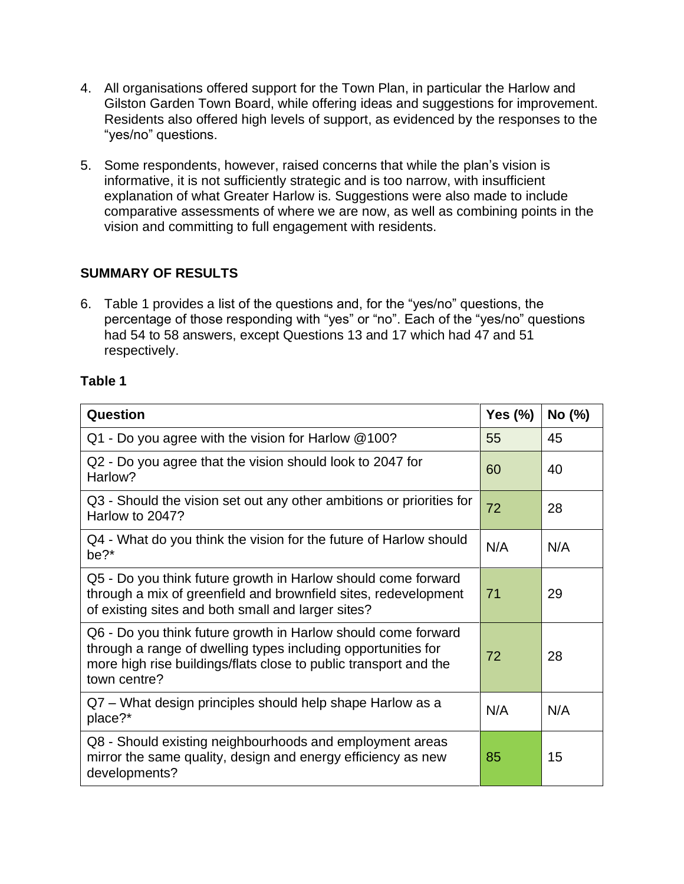- 4. All organisations offered support for the Town Plan, in particular the Harlow and Gilston Garden Town Board, while offering ideas and suggestions for improvement. Residents also offered high levels of support, as evidenced by the responses to the "yes/no" questions.
- 5. Some respondents, however, raised concerns that while the plan's vision is informative, it is not sufficiently strategic and is too narrow, with insufficient explanation of what Greater Harlow is. Suggestions were also made to include comparative assessments of where we are now, as well as combining points in the vision and committing to full engagement with residents.

# **SUMMARY OF RESULTS**

6. Table 1 provides a list of the questions and, for the "yes/no" questions, the percentage of those responding with "yes" or "no". Each of the "yes/no" questions had 54 to 58 answers, except Questions 13 and 17 which had 47 and 51 respectively.

### **Table 1**

| <b>Question</b>                                                                                                                                                                                                    |     | No (%) |
|--------------------------------------------------------------------------------------------------------------------------------------------------------------------------------------------------------------------|-----|--------|
| $Q1$ - Do you agree with the vision for Harlow $@100?$                                                                                                                                                             |     | 45     |
| Q2 - Do you agree that the vision should look to 2047 for<br>Harlow?                                                                                                                                               |     | 40     |
| Q3 - Should the vision set out any other ambitions or priorities for<br>Harlow to 2047?                                                                                                                            |     | 28     |
| Q4 - What do you think the vision for the future of Harlow should<br>be?*                                                                                                                                          | N/A | N/A    |
| Q5 - Do you think future growth in Harlow should come forward<br>through a mix of greenfield and brownfield sites, redevelopment<br>of existing sites and both small and larger sites?                             |     | 29     |
| Q6 - Do you think future growth in Harlow should come forward<br>through a range of dwelling types including opportunities for<br>more high rise buildings/flats close to public transport and the<br>town centre? |     | 28     |
| Q7 – What design principles should help shape Harlow as a<br>place?*                                                                                                                                               |     | N/A    |
| Q8 - Should existing neighbourhoods and employment areas<br>mirror the same quality, design and energy efficiency as new<br>developments?                                                                          |     | 15     |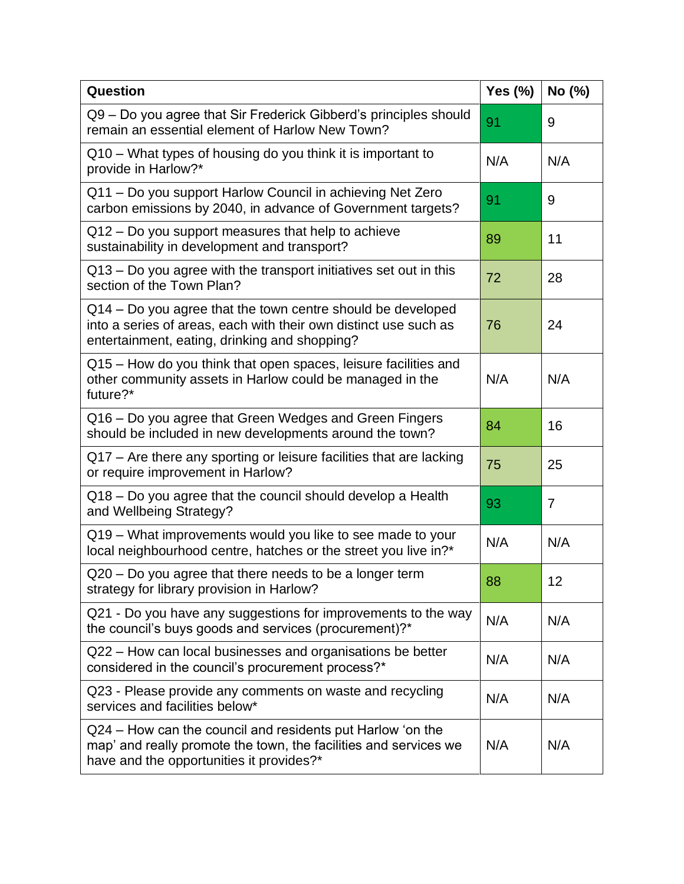| Question                                                                                                                                                                         |     | No (%)         |
|----------------------------------------------------------------------------------------------------------------------------------------------------------------------------------|-----|----------------|
| Q9 - Do you agree that Sir Frederick Gibberd's principles should<br>remain an essential element of Harlow New Town?                                                              |     | 9              |
| Q10 - What types of housing do you think it is important to<br>provide in Harlow?*                                                                                               |     | N/A            |
| Q11 - Do you support Harlow Council in achieving Net Zero<br>carbon emissions by 2040, in advance of Government targets?                                                         | 91  | 9              |
| Q12 – Do you support measures that help to achieve<br>sustainability in development and transport?                                                                               |     | 11             |
| Q13 – Do you agree with the transport initiatives set out in this<br>section of the Town Plan?                                                                                   |     | 28             |
| Q14 – Do you agree that the town centre should be developed<br>into a series of areas, each with their own distinct use such as<br>entertainment, eating, drinking and shopping? | 76  | 24             |
| Q15 – How do you think that open spaces, leisure facilities and<br>other community assets in Harlow could be managed in the<br>future?*                                          | N/A | N/A            |
| Q16 – Do you agree that Green Wedges and Green Fingers<br>should be included in new developments around the town?                                                                | 84  | 16             |
| Q17 – Are there any sporting or leisure facilities that are lacking<br>or require improvement in Harlow?                                                                         |     | 25             |
| Q18 - Do you agree that the council should develop a Health<br>and Wellbeing Strategy?                                                                                           | 93  | $\overline{7}$ |
| Q19 – What improvements would you like to see made to your<br>local neighbourhood centre, hatches or the street you live in?*                                                    | N/A | N/A            |
| $Q20 - Do$ you agree that there needs to be a longer term<br>strategy for library provision in Harlow?                                                                           |     | 12             |
| Q21 - Do you have any suggestions for improvements to the way<br>the council's buys goods and services (procurement)?*                                                           | N/A | N/A            |
| Q22 – How can local businesses and organisations be better<br>considered in the council's procurement process?*                                                                  | N/A | N/A            |
| Q23 - Please provide any comments on waste and recycling<br>services and facilities below*                                                                                       |     | N/A            |
| Q24 – How can the council and residents put Harlow 'on the<br>map' and really promote the town, the facilities and services we<br>have and the opportunities it provides?*       | N/A | N/A            |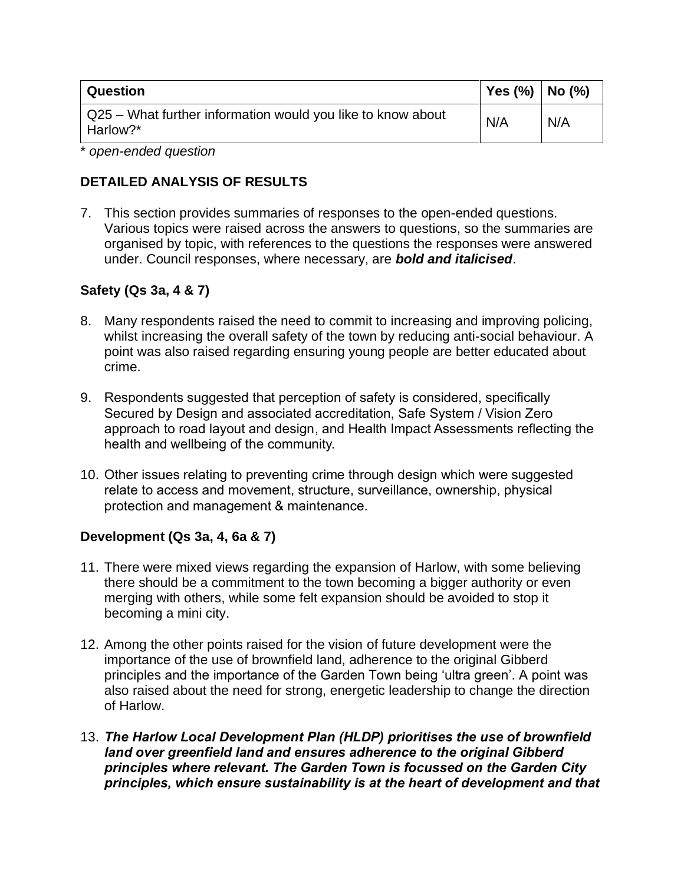| Question                                                                | Yes $(\% )$   No $(\% )$ |     |
|-------------------------------------------------------------------------|--------------------------|-----|
| Q25 – What further information would you like to know about<br>Harlow?* | N/A                      | N/A |

\* *open-ended question*

### **DETAILED ANALYSIS OF RESULTS**

7. This section provides summaries of responses to the open-ended questions. Various topics were raised across the answers to questions, so the summaries are organised by topic, with references to the questions the responses were answered under. Council responses, where necessary, are *bold and italicised*.

# **Safety (Qs 3a, 4 & 7)**

- 8. Many respondents raised the need to commit to increasing and improving policing, whilst increasing the overall safety of the town by reducing anti-social behaviour. A point was also raised regarding ensuring young people are better educated about crime.
- 9. Respondents suggested that perception of safety is considered, specifically Secured by Design and associated accreditation, Safe System / Vision Zero approach to road layout and design, and Health Impact Assessments reflecting the health and wellbeing of the community.
- 10. Other issues relating to preventing crime through design which were suggested relate to access and movement, structure, surveillance, ownership, physical protection and management & maintenance.

# **Development (Qs 3a, 4, 6a & 7)**

- 11. There were mixed views regarding the expansion of Harlow, with some believing there should be a commitment to the town becoming a bigger authority or even merging with others, while some felt expansion should be avoided to stop it becoming a mini city.
- 12. Among the other points raised for the vision of future development were the importance of the use of brownfield land, adherence to the original Gibberd principles and the importance of the Garden Town being 'ultra green'. A point was also raised about the need for strong, energetic leadership to change the direction of Harlow.
- 13. *The Harlow Local Development Plan (HLDP) prioritises the use of brownfield land over greenfield land and ensures adherence to the original Gibberd principles where relevant. The Garden Town is focussed on the Garden City principles, which ensure sustainability is at the heart of development and that*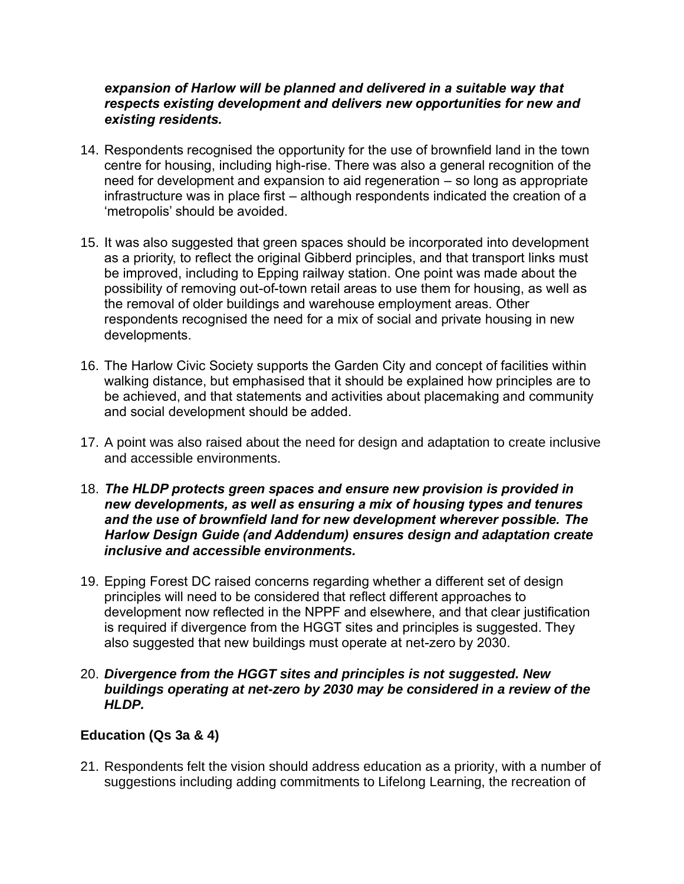#### *expansion of Harlow will be planned and delivered in a suitable way that respects existing development and delivers new opportunities for new and existing residents.*

- 14. Respondents recognised the opportunity for the use of brownfield land in the town centre for housing, including high-rise. There was also a general recognition of the need for development and expansion to aid regeneration – so long as appropriate infrastructure was in place first – although respondents indicated the creation of a 'metropolis' should be avoided.
- 15. It was also suggested that green spaces should be incorporated into development as a priority, to reflect the original Gibberd principles, and that transport links must be improved, including to Epping railway station. One point was made about the possibility of removing out-of-town retail areas to use them for housing, as well as the removal of older buildings and warehouse employment areas. Other respondents recognised the need for a mix of social and private housing in new developments.
- 16. The Harlow Civic Society supports the Garden City and concept of facilities within walking distance, but emphasised that it should be explained how principles are to be achieved, and that statements and activities about placemaking and community and social development should be added.
- 17. A point was also raised about the need for design and adaptation to create inclusive and accessible environments.
- 18. *The HLDP protects green spaces and ensure new provision is provided in new developments, as well as ensuring a mix of housing types and tenures and the use of brownfield land for new development wherever possible. The Harlow Design Guide (and Addendum) ensures design and adaptation create inclusive and accessible environments.*
- 19. Epping Forest DC raised concerns regarding whether a different set of design principles will need to be considered that reflect different approaches to development now reflected in the NPPF and elsewhere, and that clear justification is required if divergence from the HGGT sites and principles is suggested. They also suggested that new buildings must operate at net-zero by 2030.

#### 20. *Divergence from the HGGT sites and principles is not suggested. New buildings operating at net-zero by 2030 may be considered in a review of the HLDP.*

# **Education (Qs 3a & 4)**

21. Respondents felt the vision should address education as a priority, with a number of suggestions including adding commitments to Lifelong Learning, the recreation of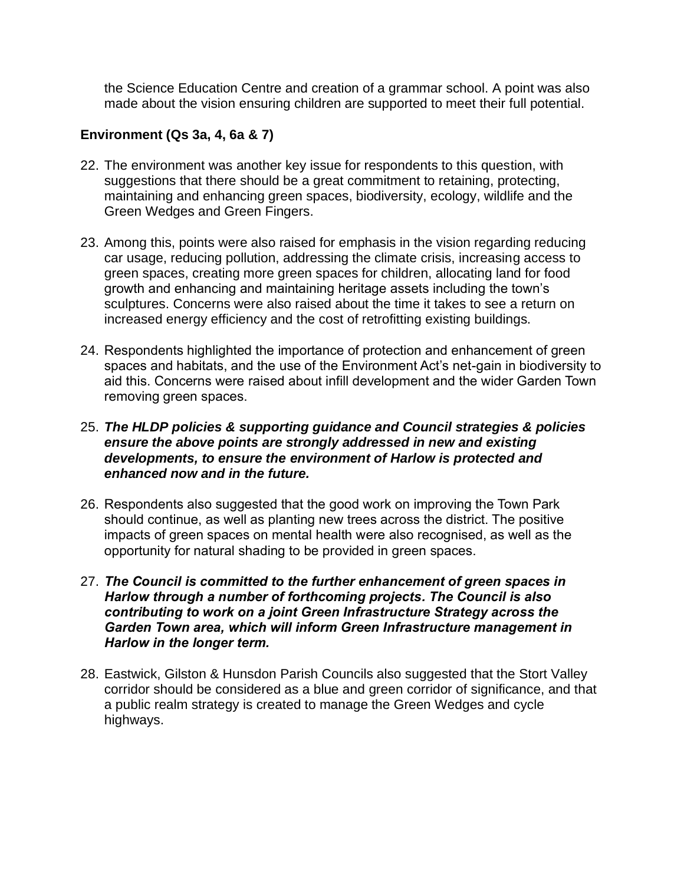the Science Education Centre and creation of a grammar school. A point was also made about the vision ensuring children are supported to meet their full potential.

# **Environment (Qs 3a, 4, 6a & 7)**

- 22. The environment was another key issue for respondents to this question, with suggestions that there should be a great commitment to retaining, protecting, maintaining and enhancing green spaces, biodiversity, ecology, wildlife and the Green Wedges and Green Fingers.
- 23. Among this, points were also raised for emphasis in the vision regarding reducing car usage, reducing pollution, addressing the climate crisis, increasing access to green spaces, creating more green spaces for children, allocating land for food growth and enhancing and maintaining heritage assets including the town's sculptures. Concerns were also raised about the time it takes to see a return on increased energy efficiency and the cost of retrofitting existing buildings.
- 24. Respondents highlighted the importance of protection and enhancement of green spaces and habitats, and the use of the Environment Act's net-gain in biodiversity to aid this. Concerns were raised about infill development and the wider Garden Town removing green spaces.

#### 25. *The HLDP policies & supporting guidance and Council strategies & policies ensure the above points are strongly addressed in new and existing developments, to ensure the environment of Harlow is protected and enhanced now and in the future.*

- 26. Respondents also suggested that the good work on improving the Town Park should continue, as well as planting new trees across the district. The positive impacts of green spaces on mental health were also recognised, as well as the opportunity for natural shading to be provided in green spaces.
- 27. *The Council is committed to the further enhancement of green spaces in Harlow through a number of forthcoming projects. The Council is also contributing to work on a joint Green Infrastructure Strategy across the Garden Town area, which will inform Green Infrastructure management in Harlow in the longer term.*
- 28. Eastwick, Gilston & Hunsdon Parish Councils also suggested that the Stort Valley corridor should be considered as a blue and green corridor of significance, and that a public realm strategy is created to manage the Green Wedges and cycle highways.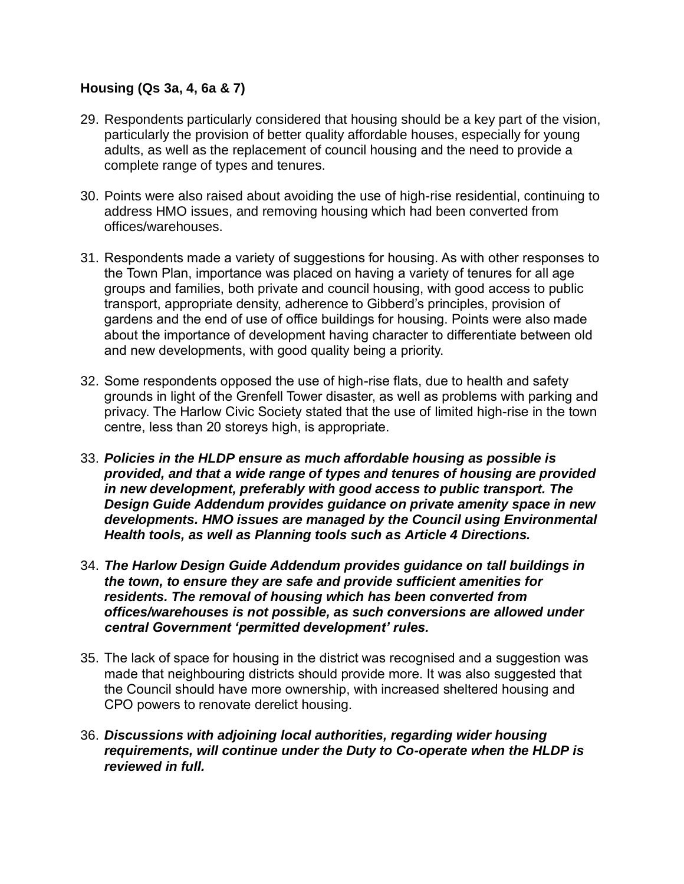# **Housing (Qs 3a, 4, 6a & 7)**

- 29. Respondents particularly considered that housing should be a key part of the vision, particularly the provision of better quality affordable houses, especially for young adults, as well as the replacement of council housing and the need to provide a complete range of types and tenures.
- 30. Points were also raised about avoiding the use of high-rise residential, continuing to address HMO issues, and removing housing which had been converted from offices/warehouses.
- 31. Respondents made a variety of suggestions for housing. As with other responses to the Town Plan, importance was placed on having a variety of tenures for all age groups and families, both private and council housing, with good access to public transport, appropriate density, adherence to Gibberd's principles, provision of gardens and the end of use of office buildings for housing. Points were also made about the importance of development having character to differentiate between old and new developments, with good quality being a priority.
- 32. Some respondents opposed the use of high-rise flats, due to health and safety grounds in light of the Grenfell Tower disaster, as well as problems with parking and privacy. The Harlow Civic Society stated that the use of limited high-rise in the town centre, less than 20 storeys high, is appropriate.
- 33. *Policies in the HLDP ensure as much affordable housing as possible is provided, and that a wide range of types and tenures of housing are provided in new development, preferably with good access to public transport. The Design Guide Addendum provides guidance on private amenity space in new developments. HMO issues are managed by the Council using Environmental Health tools, as well as Planning tools such as Article 4 Directions.*
- 34. *The Harlow Design Guide Addendum provides guidance on tall buildings in the town, to ensure they are safe and provide sufficient amenities for residents. The removal of housing which has been converted from offices/warehouses is not possible, as such conversions are allowed under central Government 'permitted development' rules.*
- 35. The lack of space for housing in the district was recognised and a suggestion was made that neighbouring districts should provide more. It was also suggested that the Council should have more ownership, with increased sheltered housing and CPO powers to renovate derelict housing.
- 36. *Discussions with adjoining local authorities, regarding wider housing requirements, will continue under the Duty to Co-operate when the HLDP is reviewed in full.*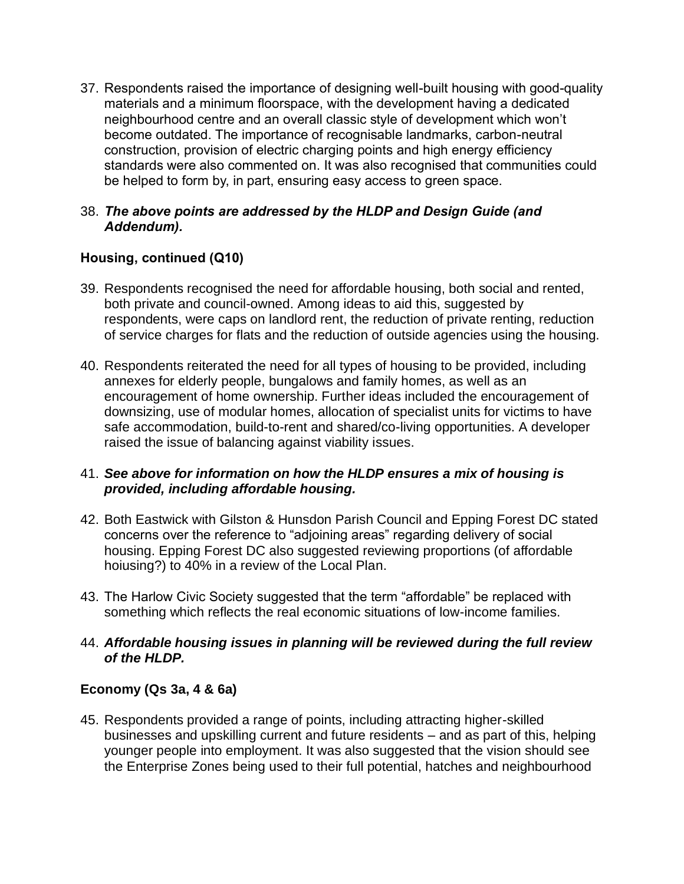37. Respondents raised the importance of designing well-built housing with good-quality materials and a minimum floorspace, with the development having a dedicated neighbourhood centre and an overall classic style of development which won't become outdated. The importance of recognisable landmarks, carbon-neutral construction, provision of electric charging points and high energy efficiency standards were also commented on. It was also recognised that communities could be helped to form by, in part, ensuring easy access to green space.

### 38. *The above points are addressed by the HLDP and Design Guide (and Addendum).*

# **Housing, continued (Q10)**

- 39. Respondents recognised the need for affordable housing, both social and rented, both private and council-owned. Among ideas to aid this, suggested by respondents, were caps on landlord rent, the reduction of private renting, reduction of service charges for flats and the reduction of outside agencies using the housing.
- 40. Respondents reiterated the need for all types of housing to be provided, including annexes for elderly people, bungalows and family homes, as well as an encouragement of home ownership. Further ideas included the encouragement of downsizing, use of modular homes, allocation of specialist units for victims to have safe accommodation, build-to-rent and shared/co-living opportunities. A developer raised the issue of balancing against viability issues.

# 41. *See above for information on how the HLDP ensures a mix of housing is provided, including affordable housing.*

- 42. Both Eastwick with Gilston & Hunsdon Parish Council and Epping Forest DC stated concerns over the reference to "adjoining areas" regarding delivery of social housing. Epping Forest DC also suggested reviewing proportions (of affordable hoiusing?) to 40% in a review of the Local Plan.
- 43. The Harlow Civic Society suggested that the term "affordable" be replaced with something which reflects the real economic situations of low-income families.

### 44. *Affordable housing issues in planning will be reviewed during the full review of the HLDP.*

# **Economy (Qs 3a, 4 & 6a)**

45. Respondents provided a range of points, including attracting higher-skilled businesses and upskilling current and future residents – and as part of this, helping younger people into employment. It was also suggested that the vision should see the Enterprise Zones being used to their full potential, hatches and neighbourhood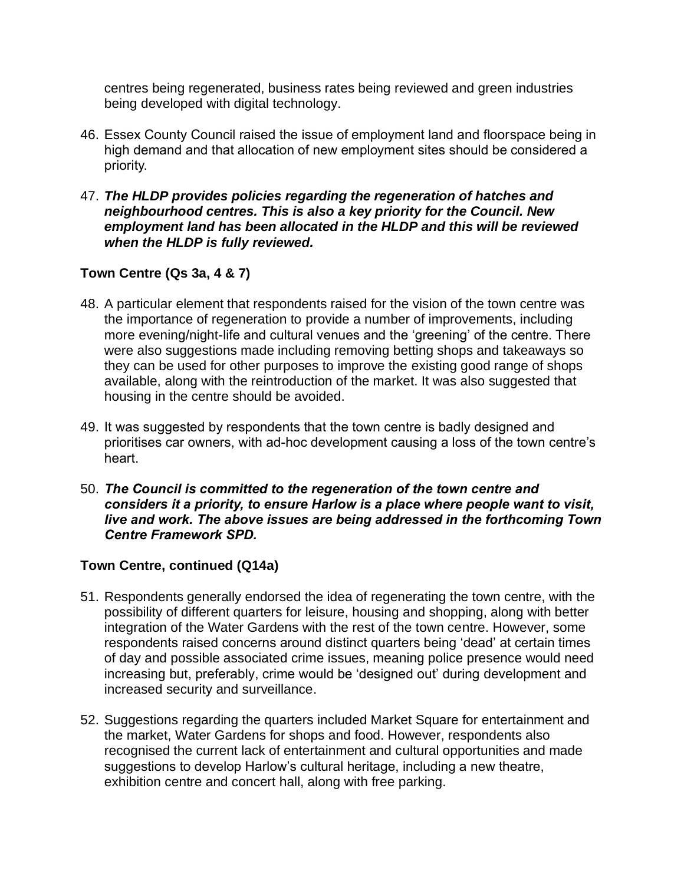centres being regenerated, business rates being reviewed and green industries being developed with digital technology.

- 46. Essex County Council raised the issue of employment land and floorspace being in high demand and that allocation of new employment sites should be considered a priority.
- 47. *The HLDP provides policies regarding the regeneration of hatches and neighbourhood centres. This is also a key priority for the Council. New employment land has been allocated in the HLDP and this will be reviewed when the HLDP is fully reviewed.*

# **Town Centre (Qs 3a, 4 & 7)**

- 48. A particular element that respondents raised for the vision of the town centre was the importance of regeneration to provide a number of improvements, including more evening/night-life and cultural venues and the 'greening' of the centre. There were also suggestions made including removing betting shops and takeaways so they can be used for other purposes to improve the existing good range of shops available, along with the reintroduction of the market. It was also suggested that housing in the centre should be avoided.
- 49. It was suggested by respondents that the town centre is badly designed and prioritises car owners, with ad-hoc development causing a loss of the town centre's heart.
- 50. *The Council is committed to the regeneration of the town centre and considers it a priority, to ensure Harlow is a place where people want to visit, live and work. The above issues are being addressed in the forthcoming Town Centre Framework SPD.*

# **Town Centre, continued (Q14a)**

- 51. Respondents generally endorsed the idea of regenerating the town centre, with the possibility of different quarters for leisure, housing and shopping, along with better integration of the Water Gardens with the rest of the town centre. However, some respondents raised concerns around distinct quarters being 'dead' at certain times of day and possible associated crime issues, meaning police presence would need increasing but, preferably, crime would be 'designed out' during development and increased security and surveillance.
- 52. Suggestions regarding the quarters included Market Square for entertainment and the market, Water Gardens for shops and food. However, respondents also recognised the current lack of entertainment and cultural opportunities and made suggestions to develop Harlow's cultural heritage, including a new theatre, exhibition centre and concert hall, along with free parking.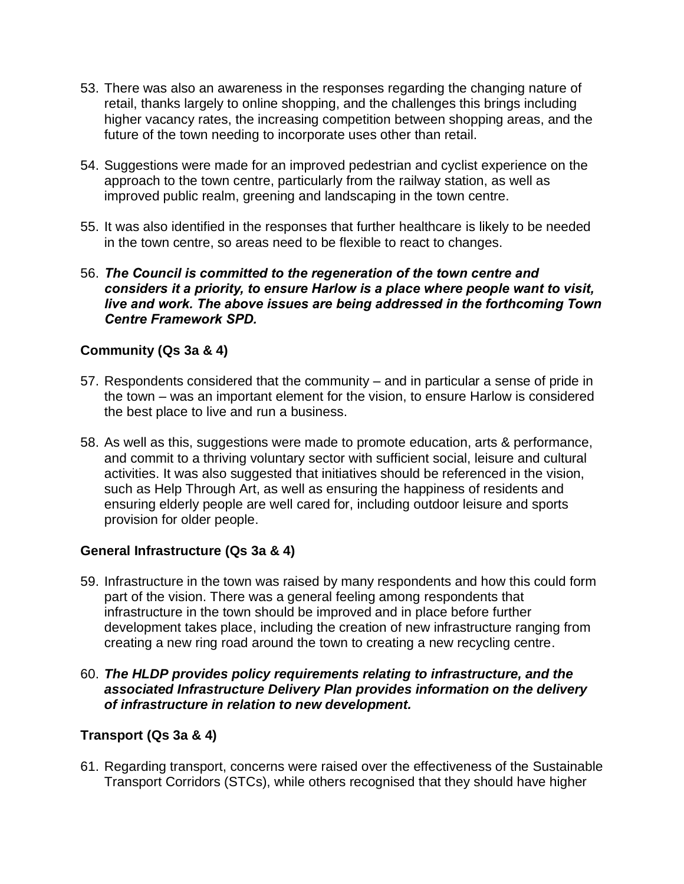- 53. There was also an awareness in the responses regarding the changing nature of retail, thanks largely to online shopping, and the challenges this brings including higher vacancy rates, the increasing competition between shopping areas, and the future of the town needing to incorporate uses other than retail.
- 54. Suggestions were made for an improved pedestrian and cyclist experience on the approach to the town centre, particularly from the railway station, as well as improved public realm, greening and landscaping in the town centre.
- 55. It was also identified in the responses that further healthcare is likely to be needed in the town centre, so areas need to be flexible to react to changes.
- 56. *The Council is committed to the regeneration of the town centre and considers it a priority, to ensure Harlow is a place where people want to visit, live and work. The above issues are being addressed in the forthcoming Town Centre Framework SPD.*

### **Community (Qs 3a & 4)**

- 57. Respondents considered that the community and in particular a sense of pride in the town – was an important element for the vision, to ensure Harlow is considered the best place to live and run a business.
- 58. As well as this, suggestions were made to promote education, arts & performance, and commit to a thriving voluntary sector with sufficient social, leisure and cultural activities. It was also suggested that initiatives should be referenced in the vision, such as Help Through Art, as well as ensuring the happiness of residents and ensuring elderly people are well cared for, including outdoor leisure and sports provision for older people.

#### **General Infrastructure (Qs 3a & 4)**

59. Infrastructure in the town was raised by many respondents and how this could form part of the vision. There was a general feeling among respondents that infrastructure in the town should be improved and in place before further development takes place, including the creation of new infrastructure ranging from creating a new ring road around the town to creating a new recycling centre.

#### 60. *The HLDP provides policy requirements relating to infrastructure, and the associated Infrastructure Delivery Plan provides information on the delivery of infrastructure in relation to new development.*

#### **Transport (Qs 3a & 4)**

61. Regarding transport, concerns were raised over the effectiveness of the Sustainable Transport Corridors (STCs), while others recognised that they should have higher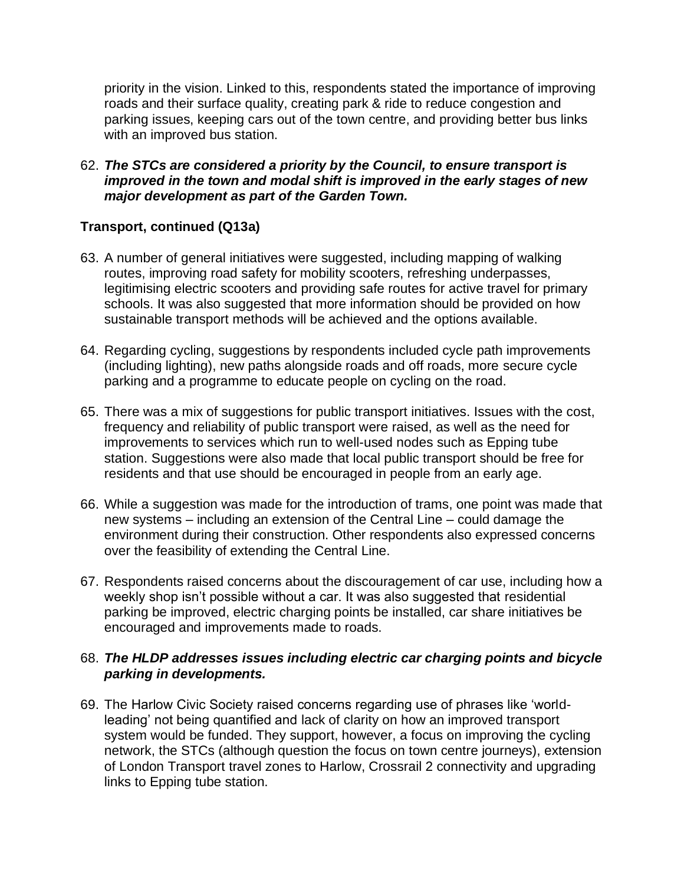priority in the vision. Linked to this, respondents stated the importance of improving roads and their surface quality, creating park & ride to reduce congestion and parking issues, keeping cars out of the town centre, and providing better bus links with an improved bus station.

62. *The STCs are considered a priority by the Council, to ensure transport is improved in the town and modal shift is improved in the early stages of new major development as part of the Garden Town.*

# **Transport, continued (Q13a)**

- 63. A number of general initiatives were suggested, including mapping of walking routes, improving road safety for mobility scooters, refreshing underpasses, legitimising electric scooters and providing safe routes for active travel for primary schools. It was also suggested that more information should be provided on how sustainable transport methods will be achieved and the options available.
- 64. Regarding cycling, suggestions by respondents included cycle path improvements (including lighting), new paths alongside roads and off roads, more secure cycle parking and a programme to educate people on cycling on the road.
- 65. There was a mix of suggestions for public transport initiatives. Issues with the cost, frequency and reliability of public transport were raised, as well as the need for improvements to services which run to well-used nodes such as Epping tube station. Suggestions were also made that local public transport should be free for residents and that use should be encouraged in people from an early age.
- 66. While a suggestion was made for the introduction of trams, one point was made that new systems – including an extension of the Central Line – could damage the environment during their construction. Other respondents also expressed concerns over the feasibility of extending the Central Line.
- 67. Respondents raised concerns about the discouragement of car use, including how a weekly shop isn't possible without a car. It was also suggested that residential parking be improved, electric charging points be installed, car share initiatives be encouraged and improvements made to roads.

#### 68. *The HLDP addresses issues including electric car charging points and bicycle parking in developments.*

69. The Harlow Civic Society raised concerns regarding use of phrases like 'worldleading' not being quantified and lack of clarity on how an improved transport system would be funded. They support, however, a focus on improving the cycling network, the STCs (although question the focus on town centre journeys), extension of London Transport travel zones to Harlow, Crossrail 2 connectivity and upgrading links to Epping tube station.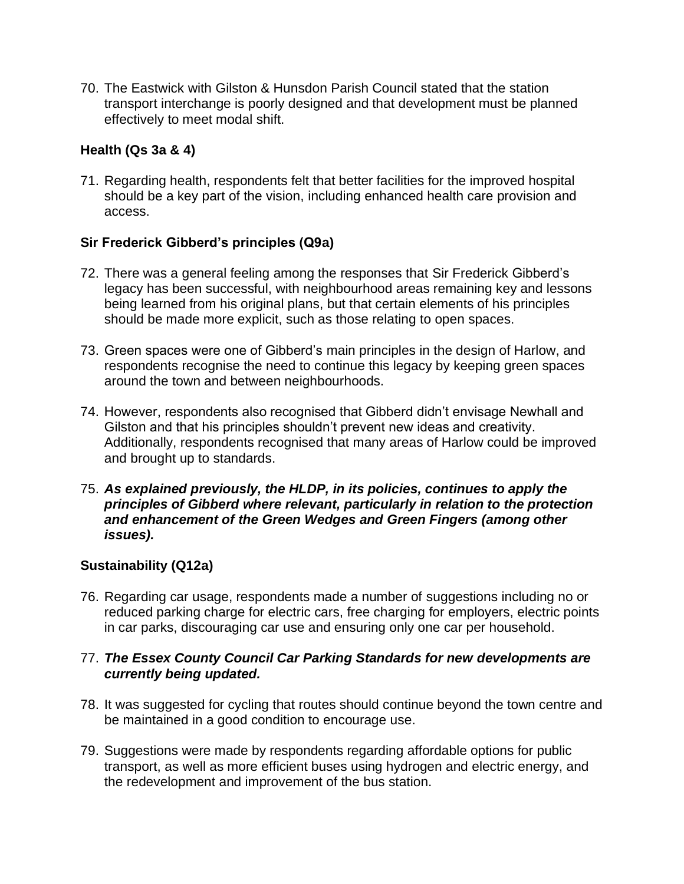70. The Eastwick with Gilston & Hunsdon Parish Council stated that the station transport interchange is poorly designed and that development must be planned effectively to meet modal shift.

# **Health (Qs 3a & 4)**

71. Regarding health, respondents felt that better facilities for the improved hospital should be a key part of the vision, including enhanced health care provision and access.

# **Sir Frederick Gibberd's principles (Q9a)**

- 72. There was a general feeling among the responses that Sir Frederick Gibberd's legacy has been successful, with neighbourhood areas remaining key and lessons being learned from his original plans, but that certain elements of his principles should be made more explicit, such as those relating to open spaces.
- 73. Green spaces were one of Gibberd's main principles in the design of Harlow, and respondents recognise the need to continue this legacy by keeping green spaces around the town and between neighbourhoods.
- 74. However, respondents also recognised that Gibberd didn't envisage Newhall and Gilston and that his principles shouldn't prevent new ideas and creativity. Additionally, respondents recognised that many areas of Harlow could be improved and brought up to standards.
- 75. *As explained previously, the HLDP, in its policies, continues to apply the principles of Gibberd where relevant, particularly in relation to the protection and enhancement of the Green Wedges and Green Fingers (among other issues).*

#### **Sustainability (Q12a)**

76. Regarding car usage, respondents made a number of suggestions including no or reduced parking charge for electric cars, free charging for employers, electric points in car parks, discouraging car use and ensuring only one car per household.

#### 77. *The Essex County Council Car Parking Standards for new developments are currently being updated.*

- 78. It was suggested for cycling that routes should continue beyond the town centre and be maintained in a good condition to encourage use.
- 79. Suggestions were made by respondents regarding affordable options for public transport, as well as more efficient buses using hydrogen and electric energy, and the redevelopment and improvement of the bus station.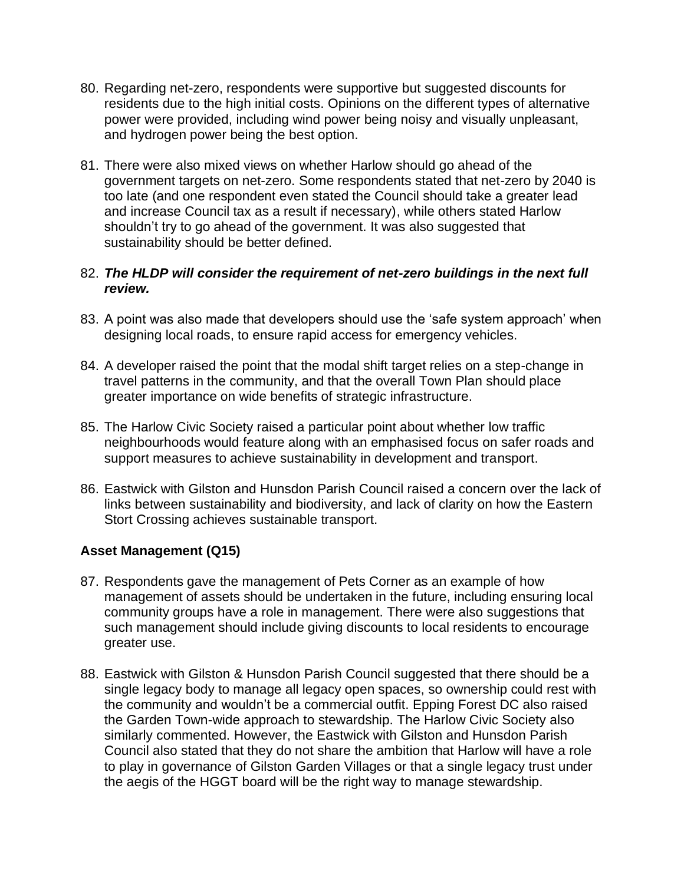- 80. Regarding net-zero, respondents were supportive but suggested discounts for residents due to the high initial costs. Opinions on the different types of alternative power were provided, including wind power being noisy and visually unpleasant, and hydrogen power being the best option.
- 81. There were also mixed views on whether Harlow should go ahead of the government targets on net-zero. Some respondents stated that net-zero by 2040 is too late (and one respondent even stated the Council should take a greater lead and increase Council tax as a result if necessary), while others stated Harlow shouldn't try to go ahead of the government. It was also suggested that sustainability should be better defined.

#### 82. *The HLDP will consider the requirement of net-zero buildings in the next full review.*

- 83. A point was also made that developers should use the 'safe system approach' when designing local roads, to ensure rapid access for emergency vehicles.
- 84. A developer raised the point that the modal shift target relies on a step-change in travel patterns in the community, and that the overall Town Plan should place greater importance on wide benefits of strategic infrastructure.
- 85. The Harlow Civic Society raised a particular point about whether low traffic neighbourhoods would feature along with an emphasised focus on safer roads and support measures to achieve sustainability in development and transport.
- 86. Eastwick with Gilston and Hunsdon Parish Council raised a concern over the lack of links between sustainability and biodiversity, and lack of clarity on how the Eastern Stort Crossing achieves sustainable transport.

# **Asset Management (Q15)**

- 87. Respondents gave the management of Pets Corner as an example of how management of assets should be undertaken in the future, including ensuring local community groups have a role in management. There were also suggestions that such management should include giving discounts to local residents to encourage greater use.
- 88. Eastwick with Gilston & Hunsdon Parish Council suggested that there should be a single legacy body to manage all legacy open spaces, so ownership could rest with the community and wouldn't be a commercial outfit. Epping Forest DC also raised the Garden Town-wide approach to stewardship. The Harlow Civic Society also similarly commented. However, the Eastwick with Gilston and Hunsdon Parish Council also stated that they do not share the ambition that Harlow will have a role to play in governance of Gilston Garden Villages or that a single legacy trust under the aegis of the HGGT board will be the right way to manage stewardship.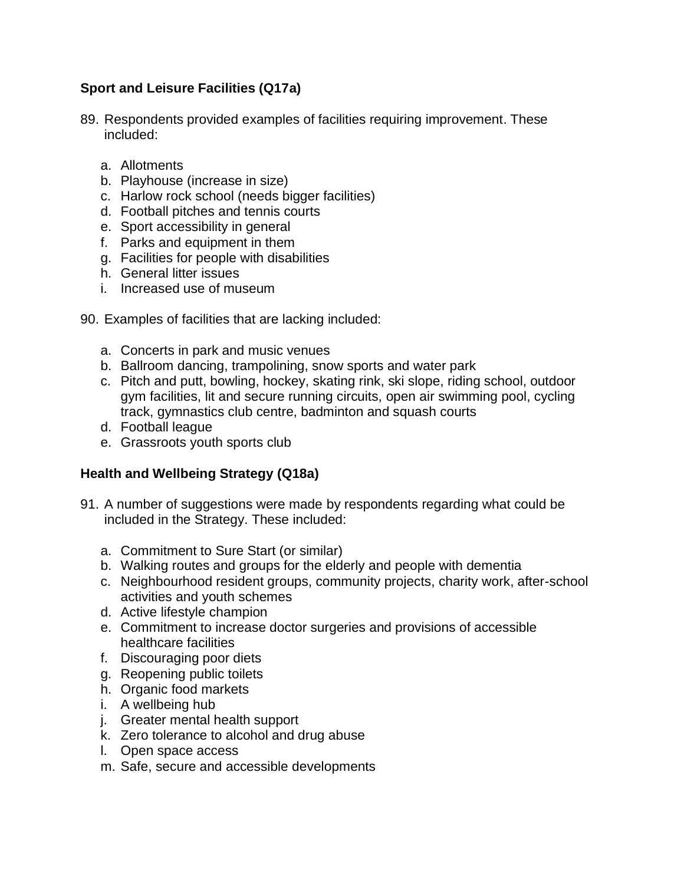# **Sport and Leisure Facilities (Q17a)**

- 89. Respondents provided examples of facilities requiring improvement. These included:
	- a. Allotments
	- b. Playhouse (increase in size)
	- c. Harlow rock school (needs bigger facilities)
	- d. Football pitches and tennis courts
	- e. Sport accessibility in general
	- f. Parks and equipment in them
	- g. Facilities for people with disabilities
	- h. General litter issues
	- i. Increased use of museum
- 90. Examples of facilities that are lacking included:
	- a. Concerts in park and music venues
	- b. Ballroom dancing, trampolining, snow sports and water park
	- c. Pitch and putt, bowling, hockey, skating rink, ski slope, riding school, outdoor gym facilities, lit and secure running circuits, open air swimming pool, cycling track, gymnastics club centre, badminton and squash courts
	- d. Football league
	- e. Grassroots youth sports club

# **Health and Wellbeing Strategy (Q18a)**

- 91. A number of suggestions were made by respondents regarding what could be included in the Strategy. These included:
	- a. Commitment to Sure Start (or similar)
	- b. Walking routes and groups for the elderly and people with dementia
	- c. Neighbourhood resident groups, community projects, charity work, after-school activities and youth schemes
	- d. Active lifestyle champion
	- e. Commitment to increase doctor surgeries and provisions of accessible healthcare facilities
	- f. Discouraging poor diets
	- g. Reopening public toilets
	- h. Organic food markets
	- i. A wellbeing hub
	- j. Greater mental health support
	- k. Zero tolerance to alcohol and drug abuse
	- l. Open space access
	- m. Safe, secure and accessible developments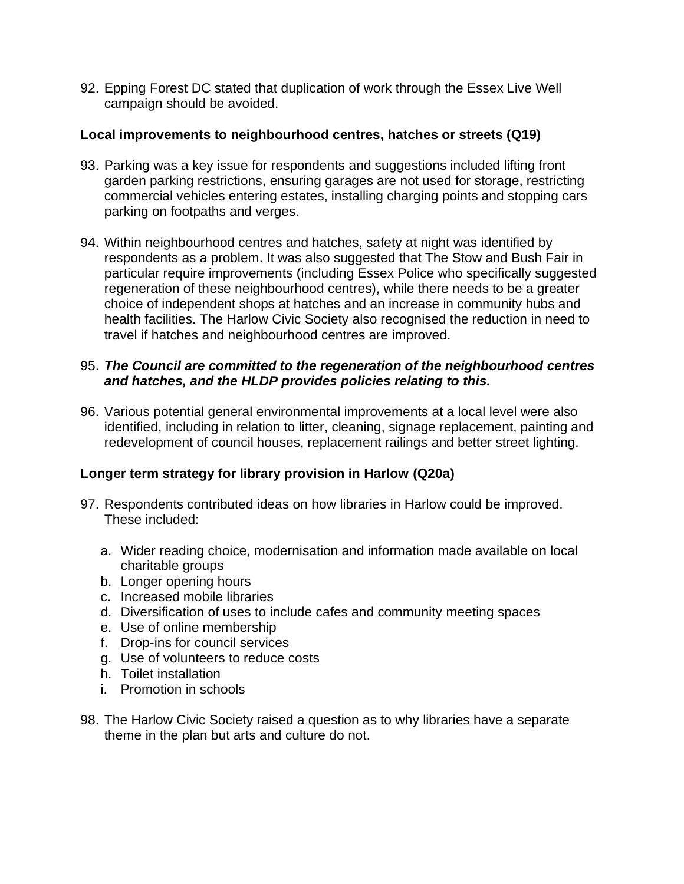92. Epping Forest DC stated that duplication of work through the Essex Live Well campaign should be avoided.

#### **Local improvements to neighbourhood centres, hatches or streets (Q19)**

- 93. Parking was a key issue for respondents and suggestions included lifting front garden parking restrictions, ensuring garages are not used for storage, restricting commercial vehicles entering estates, installing charging points and stopping cars parking on footpaths and verges.
- 94. Within neighbourhood centres and hatches, safety at night was identified by respondents as a problem. It was also suggested that The Stow and Bush Fair in particular require improvements (including Essex Police who specifically suggested regeneration of these neighbourhood centres), while there needs to be a greater choice of independent shops at hatches and an increase in community hubs and health facilities. The Harlow Civic Society also recognised the reduction in need to travel if hatches and neighbourhood centres are improved.

### 95. *The Council are committed to the regeneration of the neighbourhood centres and hatches, and the HLDP provides policies relating to this.*

96. Various potential general environmental improvements at a local level were also identified, including in relation to litter, cleaning, signage replacement, painting and redevelopment of council houses, replacement railings and better street lighting.

# **Longer term strategy for library provision in Harlow (Q20a)**

- 97. Respondents contributed ideas on how libraries in Harlow could be improved. These included:
	- a. Wider reading choice, modernisation and information made available on local charitable groups
	- b. Longer opening hours
	- c. Increased mobile libraries
	- d. Diversification of uses to include cafes and community meeting spaces
	- e. Use of online membership
	- f. Drop-ins for council services
	- g. Use of volunteers to reduce costs
	- h. Toilet installation
	- i. Promotion in schools
- 98. The Harlow Civic Society raised a question as to why libraries have a separate theme in the plan but arts and culture do not.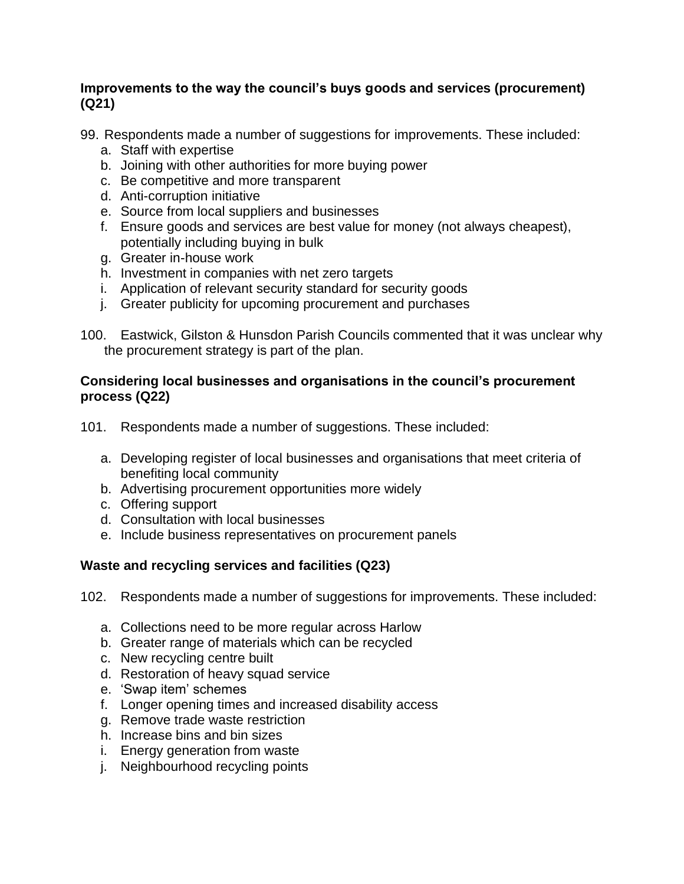### **Improvements to the way the council's buys goods and services (procurement) (Q21)**

99. Respondents made a number of suggestions for improvements. These included:

- a. Staff with expertise
- b. Joining with other authorities for more buying power
- c. Be competitive and more transparent
- d. Anti-corruption initiative
- e. Source from local suppliers and businesses
- f. Ensure goods and services are best value for money (not always cheapest), potentially including buying in bulk
- g. Greater in-house work
- h. Investment in companies with net zero targets
- i. Application of relevant security standard for security goods
- j. Greater publicity for upcoming procurement and purchases
- 100. Eastwick, Gilston & Hunsdon Parish Councils commented that it was unclear why the procurement strategy is part of the plan.

#### **Considering local businesses and organisations in the council's procurement process (Q22)**

- 101. Respondents made a number of suggestions. These included:
	- a. Developing register of local businesses and organisations that meet criteria of benefiting local community
	- b. Advertising procurement opportunities more widely
	- c. Offering support
	- d. Consultation with local businesses
	- e. Include business representatives on procurement panels

# **Waste and recycling services and facilities (Q23)**

- 102. Respondents made a number of suggestions for improvements. These included:
	- a. Collections need to be more regular across Harlow
	- b. Greater range of materials which can be recycled
	- c. New recycling centre built
	- d. Restoration of heavy squad service
	- e. 'Swap item' schemes
	- f. Longer opening times and increased disability access
	- g. Remove trade waste restriction
	- h. Increase bins and bin sizes
	- i. Energy generation from waste
	- j. Neighbourhood recycling points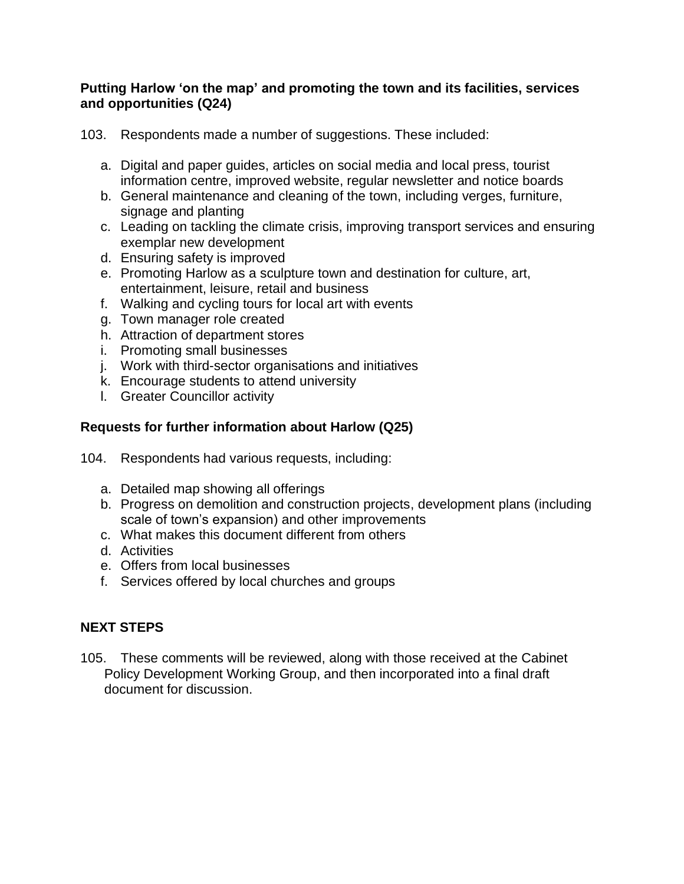#### **Putting Harlow 'on the map' and promoting the town and its facilities, services and opportunities (Q24)**

103. Respondents made a number of suggestions. These included:

- a. Digital and paper guides, articles on social media and local press, tourist information centre, improved website, regular newsletter and notice boards
- b. General maintenance and cleaning of the town, including verges, furniture, signage and planting
- c. Leading on tackling the climate crisis, improving transport services and ensuring exemplar new development
- d. Ensuring safety is improved
- e. Promoting Harlow as a sculpture town and destination for culture, art, entertainment, leisure, retail and business
- f. Walking and cycling tours for local art with events
- g. Town manager role created
- h. Attraction of department stores
- i. Promoting small businesses
- j. Work with third-sector organisations and initiatives
- k. Encourage students to attend university
- l. Greater Councillor activity

# **Requests for further information about Harlow (Q25)**

- 104. Respondents had various requests, including:
	- a. Detailed map showing all offerings
	- b. Progress on demolition and construction projects, development plans (including scale of town's expansion) and other improvements
	- c. What makes this document different from others
	- d. Activities
	- e. Offers from local businesses
	- f. Services offered by local churches and groups

# **NEXT STEPS**

105. These comments will be reviewed, along with those received at the Cabinet Policy Development Working Group, and then incorporated into a final draft document for discussion.